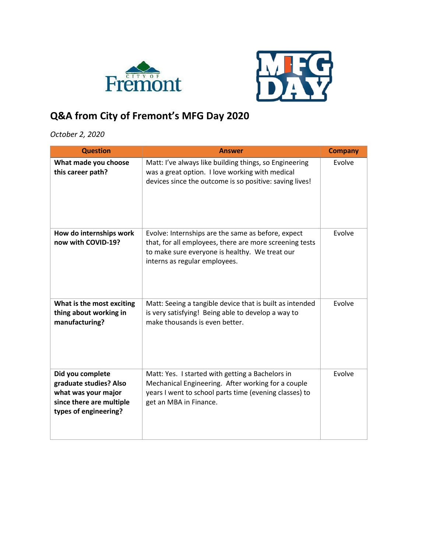



## **Q&A from City of Fremont's MFG Day 2020**

## *October 2, 2020*

| <b>Question</b>                                                                                                        | <b>Answer</b>                                                                                                                                                                                    | <b>Company</b> |
|------------------------------------------------------------------------------------------------------------------------|--------------------------------------------------------------------------------------------------------------------------------------------------------------------------------------------------|----------------|
| What made you choose<br>this career path?                                                                              | Matt: I've always like building things, so Engineering<br>was a great option. I love working with medical<br>devices since the outcome is so positive: saving lives!                             | Evolve         |
| How do internships work<br>now with COVID-19?                                                                          | Evolve: Internships are the same as before, expect<br>that, for all employees, there are more screening tests<br>to make sure everyone is healthy. We treat our<br>interns as regular employees. | Evolve         |
| What is the most exciting<br>thing about working in<br>manufacturing?                                                  | Matt: Seeing a tangible device that is built as intended<br>is very satisfying! Being able to develop a way to<br>make thousands is even better.                                                 | Evolve         |
| Did you complete<br>graduate studies? Also<br>what was your major<br>since there are multiple<br>types of engineering? | Matt: Yes. I started with getting a Bachelors in<br>Mechanical Engineering. After working for a couple<br>years I went to school parts time (evening classes) to<br>get an MBA in Finance.       | Evolve         |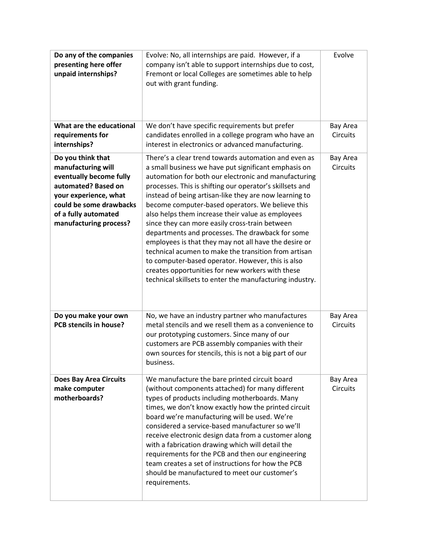| Do any of the companies<br>presenting here offer<br>unpaid internships?                                                                                                                         | Evolve: No, all internships are paid. However, if a<br>company isn't able to support internships due to cost,<br>Fremont or local Colleges are sometimes able to help<br>out with grant funding.                                                                                                                                                                                                                                                                                                                                                                                                                                                                                                                                                                                                | Evolve                      |
|-------------------------------------------------------------------------------------------------------------------------------------------------------------------------------------------------|-------------------------------------------------------------------------------------------------------------------------------------------------------------------------------------------------------------------------------------------------------------------------------------------------------------------------------------------------------------------------------------------------------------------------------------------------------------------------------------------------------------------------------------------------------------------------------------------------------------------------------------------------------------------------------------------------------------------------------------------------------------------------------------------------|-----------------------------|
| What are the educational<br>requirements for<br>internships?                                                                                                                                    | We don't have specific requirements but prefer<br>candidates enrolled in a college program who have an<br>interest in electronics or advanced manufacturing.                                                                                                                                                                                                                                                                                                                                                                                                                                                                                                                                                                                                                                    | Bay Area<br><b>Circuits</b> |
| Do you think that<br>manufacturing will<br>eventually become fully<br>automated? Based on<br>your experience, what<br>could be some drawbacks<br>of a fully automated<br>manufacturing process? | There's a clear trend towards automation and even as<br>a small business we have put significant emphasis on<br>automation for both our electronic and manufacturing<br>processes. This is shifting our operator's skillsets and<br>instead of being artisan-like they are now learning to<br>become computer-based operators. We believe this<br>also helps them increase their value as employees<br>since they can more easily cross-train between<br>departments and processes. The drawback for some<br>employees is that they may not all have the desire or<br>technical acumen to make the transition from artisan<br>to computer-based operator. However, this is also<br>creates opportunities for new workers with these<br>technical skillsets to enter the manufacturing industry. | Bay Area<br>Circuits        |
| Do you make your own<br>PCB stencils in house?                                                                                                                                                  | No, we have an industry partner who manufactures<br>metal stencils and we resell them as a convenience to<br>our prototyping customers. Since many of our<br>customers are PCB assembly companies with their<br>own sources for stencils, this is not a big part of our<br>business.                                                                                                                                                                                                                                                                                                                                                                                                                                                                                                            | Bay Area<br><b>Circuits</b> |
| <b>Does Bay Area Circuits</b><br>make computer<br>motherboards?                                                                                                                                 | We manufacture the bare printed circuit board<br>(without components attached) for many different<br>types of products including motherboards. Many<br>times, we don't know exactly how the printed circuit<br>board we're manufacturing will be used. We're<br>considered a service-based manufacturer so we'll<br>receive electronic design data from a customer along<br>with a fabrication drawing which will detail the<br>requirements for the PCB and then our engineering<br>team creates a set of instructions for how the PCB<br>should be manufactured to meet our customer's<br>requirements.                                                                                                                                                                                       | Bay Area<br><b>Circuits</b> |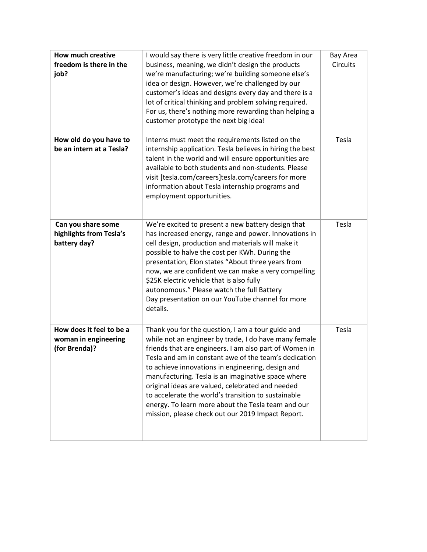| <b>How much creative</b><br>freedom is there in the<br>job?       | I would say there is very little creative freedom in our<br>business, meaning, we didn't design the products<br>we're manufacturing; we're building someone else's<br>idea or design. However, we're challenged by our<br>customer's ideas and designs every day and there is a<br>lot of critical thinking and problem solving required.<br>For us, there's nothing more rewarding than helping a<br>customer prototype the next big idea!                                                                                                                    | Bay Area<br><b>Circuits</b> |
|-------------------------------------------------------------------|----------------------------------------------------------------------------------------------------------------------------------------------------------------------------------------------------------------------------------------------------------------------------------------------------------------------------------------------------------------------------------------------------------------------------------------------------------------------------------------------------------------------------------------------------------------|-----------------------------|
| How old do you have to<br>be an intern at a Tesla?                | Interns must meet the requirements listed on the<br>internship application. Tesla believes in hiring the best<br>talent in the world and will ensure opportunities are<br>available to both students and non-students. Please<br>visit [tesla.com/careers]tesla.com/careers for more<br>information about Tesla internship programs and<br>employment opportunities.                                                                                                                                                                                           | Tesla                       |
| Can you share some<br>highlights from Tesla's<br>battery day?     | We're excited to present a new battery design that<br>has increased energy, range and power. Innovations in<br>cell design, production and materials will make it<br>possible to halve the cost per KWh. During the<br>presentation, Elon states "About three years from<br>now, we are confident we can make a very compelling<br>\$25K electric vehicle that is also fully<br>autonomous." Please watch the full Battery<br>Day presentation on our YouTube channel for more<br>details.                                                                     | Tesla                       |
| How does it feel to be a<br>woman in engineering<br>(for Brenda)? | Thank you for the question, I am a tour guide and<br>while not an engineer by trade, I do have many female<br>friends that are engineers. I am also part of Women in<br>Tesla and am in constant awe of the team's dedication<br>to achieve innovations in engineering, design and<br>manufacturing. Tesla is an imaginative space where<br>original ideas are valued, celebrated and needed<br>to accelerate the world's transition to sustainable<br>energy. To learn more about the Tesla team and our<br>mission, please check out our 2019 Impact Report. | Tesla                       |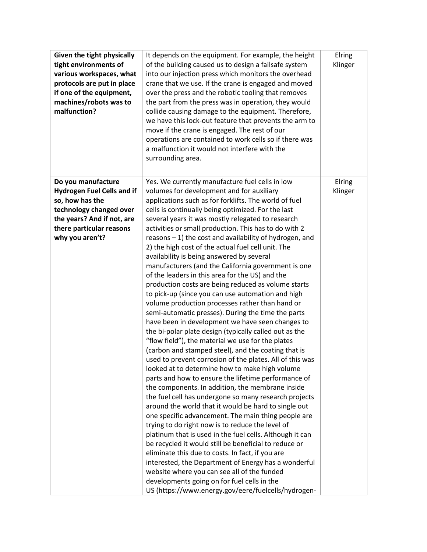| Given the tight physically<br>tight environments of<br>various workspaces, what<br>protocols are put in place<br>if one of the equipment,<br>machines/robots was to<br>malfunction? | It depends on the equipment. For example, the height<br>of the building caused us to design a failsafe system<br>into our injection press which monitors the overhead<br>crane that we use. If the crane is engaged and moved<br>over the press and the robotic tooling that removes<br>the part from the press was in operation, they would<br>collide causing damage to the equipment. Therefore,<br>we have this lock-out feature that prevents the arm to<br>move if the crane is engaged. The rest of our<br>operations are contained to work cells so if there was<br>a malfunction it would not interfere with the<br>surrounding area.                                                                                                                                                                                                                                                                                                                                                                                                                                                                                                                                                                                                                                                                                                                                                                                                                                                                                                                                                                                                                                                                                                                                                                                                                                              | Elring<br>Klinger |
|-------------------------------------------------------------------------------------------------------------------------------------------------------------------------------------|---------------------------------------------------------------------------------------------------------------------------------------------------------------------------------------------------------------------------------------------------------------------------------------------------------------------------------------------------------------------------------------------------------------------------------------------------------------------------------------------------------------------------------------------------------------------------------------------------------------------------------------------------------------------------------------------------------------------------------------------------------------------------------------------------------------------------------------------------------------------------------------------------------------------------------------------------------------------------------------------------------------------------------------------------------------------------------------------------------------------------------------------------------------------------------------------------------------------------------------------------------------------------------------------------------------------------------------------------------------------------------------------------------------------------------------------------------------------------------------------------------------------------------------------------------------------------------------------------------------------------------------------------------------------------------------------------------------------------------------------------------------------------------------------------------------------------------------------------------------------------------------------|-------------------|
| Do you manufacture<br><b>Hydrogen Fuel Cells and if</b><br>so, how has the<br>technology changed over<br>the years? And if not, are<br>there particular reasons<br>why you aren't?  | Yes. We currently manufacture fuel cells in low<br>volumes for development and for auxiliary<br>applications such as for forklifts. The world of fuel<br>cells is continually being optimized. For the last<br>several years it was mostly relegated to research<br>activities or small production. This has to do with 2<br>reasons - 1) the cost and availability of hydrogen, and<br>2) the high cost of the actual fuel cell unit. The<br>availability is being answered by several<br>manufacturers (and the California government is one<br>of the leaders in this area for the US) and the<br>production costs are being reduced as volume starts<br>to pick-up (since you can use automation and high<br>volume production processes rather than hand or<br>semi-automatic presses). During the time the parts<br>have been in development we have seen changes to<br>the bi-polar plate design (typically called out as the<br>"flow field"), the material we use for the plates<br>(carbon and stamped steel), and the coating that is<br>used to prevent corrosion of the plates. All of this was<br>looked at to determine how to make high volume<br>parts and how to ensure the lifetime performance of<br>the components. In addition, the membrane inside<br>the fuel cell has undergone so many research projects<br>around the world that it would be hard to single out<br>one specific advancement. The main thing people are<br>trying to do right now is to reduce the level of<br>platinum that is used in the fuel cells. Although it can<br>be recycled it would still be beneficial to reduce or<br>eliminate this due to costs. In fact, if you are<br>interested, the Department of Energy has a wonderful<br>website where you can see all of the funded<br>developments going on for fuel cells in the<br>US (https://www.energy.gov/eere/fuelcells/hydrogen- | Elring<br>Klinger |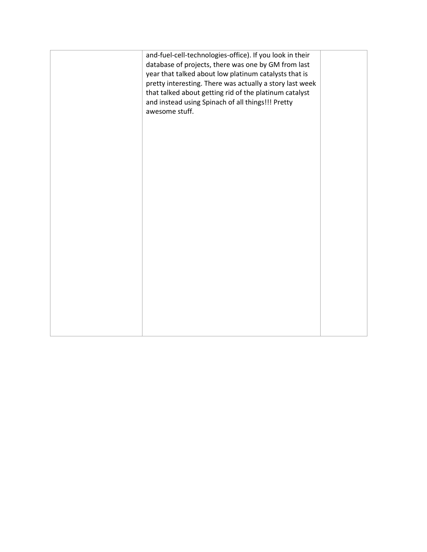| and-fuel-cell-technologies-office). If you look in their<br>database of projects, there was one by GM from last<br>year that talked about low platinum catalysts that is<br>pretty interesting. There was actually a story last week<br>that talked about getting rid of the platinum catalyst<br>and instead using Spinach of all things!!! Pretty<br>awesome stuff. |  |
|-----------------------------------------------------------------------------------------------------------------------------------------------------------------------------------------------------------------------------------------------------------------------------------------------------------------------------------------------------------------------|--|
|                                                                                                                                                                                                                                                                                                                                                                       |  |
|                                                                                                                                                                                                                                                                                                                                                                       |  |
|                                                                                                                                                                                                                                                                                                                                                                       |  |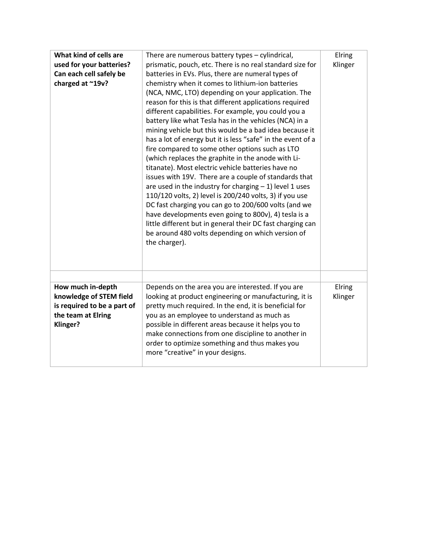| What kind of cells are<br>used for your batteries?<br>Can each cell safely be<br>charged at ~19v?                    | There are numerous battery types - cylindrical,<br>prismatic, pouch, etc. There is no real standard size for<br>batteries in EVs. Plus, there are numeral types of<br>chemistry when it comes to lithium-ion batteries<br>(NCA, NMC, LTO) depending on your application. The<br>reason for this is that different applications required<br>different capabilities. For example, you could you a<br>battery like what Tesla has in the vehicles (NCA) in a<br>mining vehicle but this would be a bad idea because it<br>has a lot of energy but it is less "safe" in the event of a<br>fire compared to some other options such as LTO<br>(which replaces the graphite in the anode with Li-<br>titanate). Most electric vehicle batteries have no<br>issues with 19V. There are a couple of standards that<br>are used in the industry for charging $-1$ ) level 1 uses<br>110/120 volts, 2) level is 200/240 volts, 3) if you use<br>DC fast charging you can go to 200/600 volts (and we<br>have developments even going to 800v), 4) tesla is a<br>little different but in general their DC fast charging can<br>be around 480 volts depending on which version of<br>the charger). | Elring<br>Klinger |
|----------------------------------------------------------------------------------------------------------------------|----------------------------------------------------------------------------------------------------------------------------------------------------------------------------------------------------------------------------------------------------------------------------------------------------------------------------------------------------------------------------------------------------------------------------------------------------------------------------------------------------------------------------------------------------------------------------------------------------------------------------------------------------------------------------------------------------------------------------------------------------------------------------------------------------------------------------------------------------------------------------------------------------------------------------------------------------------------------------------------------------------------------------------------------------------------------------------------------------------------------------------------------------------------------------------------|-------------------|
| How much in-depth<br>knowledge of STEM field<br>is required to be a part of<br>the team at Elring<br><b>Klinger?</b> | Depends on the area you are interested. If you are<br>looking at product engineering or manufacturing, it is<br>pretty much required. In the end, it is beneficial for<br>you as an employee to understand as much as<br>possible in different areas because it helps you to<br>make connections from one discipline to another in<br>order to optimize something and thus makes you<br>more "creative" in your designs.                                                                                                                                                                                                                                                                                                                                                                                                                                                                                                                                                                                                                                                                                                                                                               | Elring<br>Klinger |